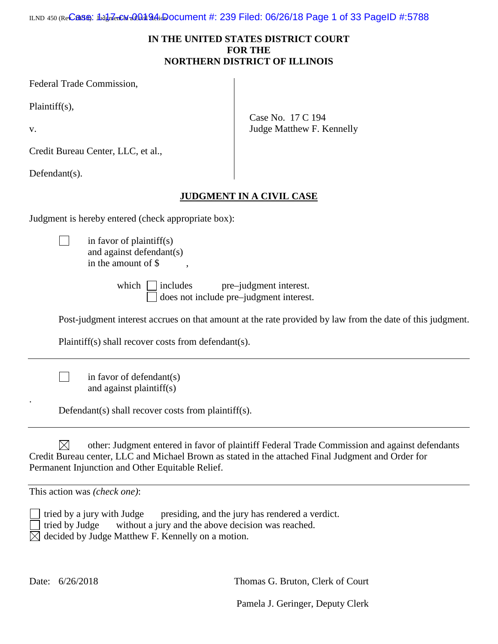iபல 450 (Re**Cass): 1իմցի7enCM-ո0ն)։1 Ձ4ի։**Document #: 239 Filed: 06/26/18 Page 1 of 33 PageID #:5788

# **IN THE UNITED STATES DISTRICT COURT FOR THE NORTHERN DISTRICT OF ILLINOIS**

Case No. 17 C 194

Judge Matthew F. Kennelly

Federal Trade Commission,

Plaintiff(s),

v.

.

Credit Bureau Center, LLC, et al.,

Defendant(s).

 $\Box$ 

 $\Box$ 

# **JUDGMENT IN A CIVIL CASE**

Judgment is hereby entered (check appropriate box):

in favor of plaintiff(s) and against defendant(s) in the amount of  $\$$ 

which includes pre–judgment interest. □ does not include pre–judgment interest.

Post-judgment interest accrues on that amount at the rate provided by law from the date of this judgment.

Plaintiff(s) shall recover costs from defendant(s).

in favor of defendant(s) and against plaintiff(s)

Defendant(s) shall recover costs from plaintiff(s).

 $\boxtimes$ other: Judgment entered in favor of plaintiff Federal Trade Commission and against defendants Credit Bureau center, LLC and Michael Brown as stated in the attached Final Judgment and Order for Permanent Injunction and Other Equitable Relief.

This action was *(check one)*:

tried by a jury with Judge presiding, and the jury has rendered a verdict. tried by Judge without a jury and the above decision was reached.  $\boxtimes$  decided by Judge Matthew F. Kennelly on a motion.

Date:  $6/26/2018$  Thomas G. Bruton, Clerk of Court

Pamela J. Geringer, Deputy Clerk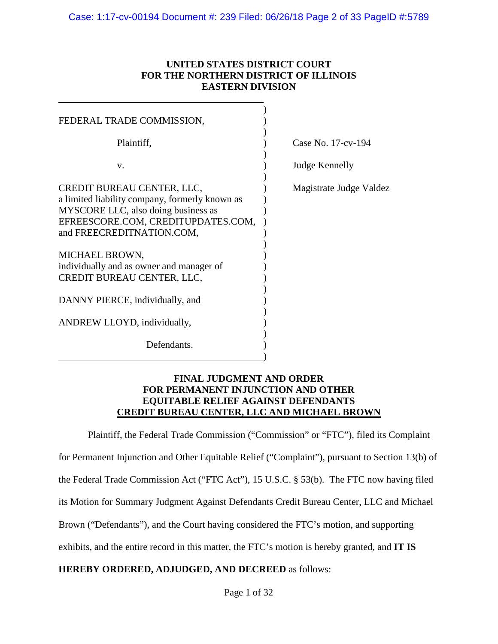# **UNITED STATES DISTRICT COURT FOR THE NORTHERN DISTRICT OF ILLINOIS EASTERN DIVISION**

| FEDERAL TRADE COMMISSION,                                                    |                         |
|------------------------------------------------------------------------------|-------------------------|
| Plaintiff,                                                                   | Case No. 17-cv-194      |
| V.                                                                           | Judge Kennelly          |
| CREDIT BUREAU CENTER, LLC,<br>a limited liability company, formerly known as | Magistrate Judge Valdez |
| MYSCORE LLC, also doing business as<br>EFREESCORE.COM, CREDITUPDATES.COM,    |                         |
| and FREECREDITNATION.COM,                                                    |                         |
| MICHAEL BROWN,                                                               |                         |
| individually and as owner and manager of<br>CREDIT BUREAU CENTER, LLC,       |                         |
| DANNY PIERCE, individually, and                                              |                         |
| ANDREW LLOYD, individually,                                                  |                         |
| Defendants.                                                                  |                         |
|                                                                              |                         |

## **FINAL JUDGMENT AND ORDER FOR PERMANENT INJUNCTION AND OTHER EQUITABLE RELIEF AGAINST DEFENDANTS CREDIT BUREAU CENTER, LLC AND MICHAEL BROWN**

Plaintiff, the Federal Trade Commission ("Commission" or "FTC"), filed its Complaint

for Permanent Injunction and Other Equitable Relief ("Complaint"), pursuant to Section 13(b) of

the Federal Trade Commission Act ("FTC Act"), 15 U.S.C. § 53(b). The FTC now having filed

its Motion for Summary Judgment Against Defendants Credit Bureau Center, LLC and Michael

Brown ("Defendants"), and the Court having considered the FTC's motion, and supporting

exhibits, and the entire record in this matter, the FTC's motion is hereby granted, and **IT IS** 

# **HEREBY ORDERED, ADJUDGED, AND DECREED** as follows: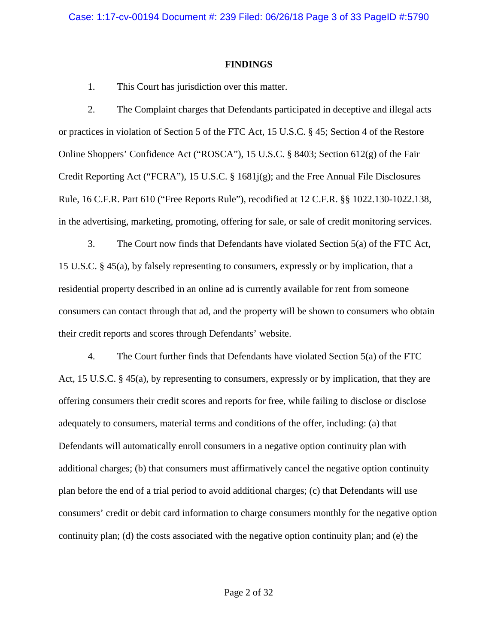## **FINDINGS**

1. This Court has jurisdiction over this matter.

2. The Complaint charges that Defendants participated in deceptive and illegal acts or practices in violation of Section 5 of the FTC Act, 15 U.S.C. § 45; Section 4 of the Restore Online Shoppers' Confidence Act ("ROSCA"), 15 U.S.C. § 8403; Section 612(g) of the Fair Credit Reporting Act ("FCRA"), 15 U.S.C. § 1681j(g); and the Free Annual File Disclosures Rule, 16 C.F.R. Part 610 ("Free Reports Rule"), recodified at 12 C.F.R. §§ 1022.130-1022.138, in the advertising, marketing, promoting, offering for sale, or sale of credit monitoring services.

3. The Court now finds that Defendants have violated Section 5(a) of the FTC Act, 15 U.S.C. § 45(a), by falsely representing to consumers, expressly or by implication, that a residential property described in an online ad is currently available for rent from someone consumers can contact through that ad, and the property will be shown to consumers who obtain their credit reports and scores through Defendants' website.

4. The Court further finds that Defendants have violated Section 5(a) of the FTC Act, 15 U.S.C. § 45(a), by representing to consumers, expressly or by implication, that they are offering consumers their credit scores and reports for free, while failing to disclose or disclose adequately to consumers, material terms and conditions of the offer, including: (a) that Defendants will automatically enroll consumers in a negative option continuity plan with additional charges; (b) that consumers must affirmatively cancel the negative option continuity plan before the end of a trial period to avoid additional charges; (c) that Defendants will use consumers' credit or debit card information to charge consumers monthly for the negative option continuity plan; (d) the costs associated with the negative option continuity plan; and (e) the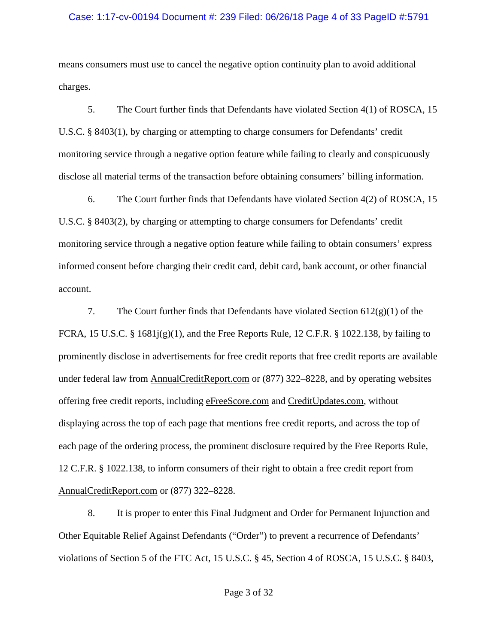#### Case: 1:17-cv-00194 Document #: 239 Filed: 06/26/18 Page 4 of 33 PageID #:5791

means consumers must use to cancel the negative option continuity plan to avoid additional charges.

5. The Court further finds that Defendants have violated Section 4(1) of ROSCA, 15 U.S.C. § 8403(1), by charging or attempting to charge consumers for Defendants' credit monitoring service through a negative option feature while failing to clearly and conspicuously disclose all material terms of the transaction before obtaining consumers' billing information.

6. The Court further finds that Defendants have violated Section 4(2) of ROSCA, 15 U.S.C. § 8403(2), by charging or attempting to charge consumers for Defendants' credit monitoring service through a negative option feature while failing to obtain consumers' express informed consent before charging their credit card, debit card, bank account, or other financial account.

7. The Court further finds that Defendants have violated Section  $612(g)(1)$  of the FCRA, 15 U.S.C. § 1681j(g)(1), and the Free Reports Rule, 12 C.F.R. § 1022.138, by failing to prominently disclose in advertisements for free credit reports that free credit reports are available under federal law from AnnualCreditReport.com or (877) 322–8228, and by operating websites offering free credit reports, including eFreeScore.com and CreditUpdates.com, without displaying across the top of each page that mentions free credit reports, and across the top of each page of the ordering process, the prominent disclosure required by the Free Reports Rule, 12 C.F.R. § 1022.138, to inform consumers of their right to obtain a free credit report from AnnualCreditReport.com or (877) 322–8228.

8. It is proper to enter this Final Judgment and Order for Permanent Injunction and Other Equitable Relief Against Defendants ("Order") to prevent a recurrence of Defendants' violations of Section 5 of the FTC Act, 15 U.S.C. § 45, Section 4 of ROSCA, 15 U.S.C. § 8403,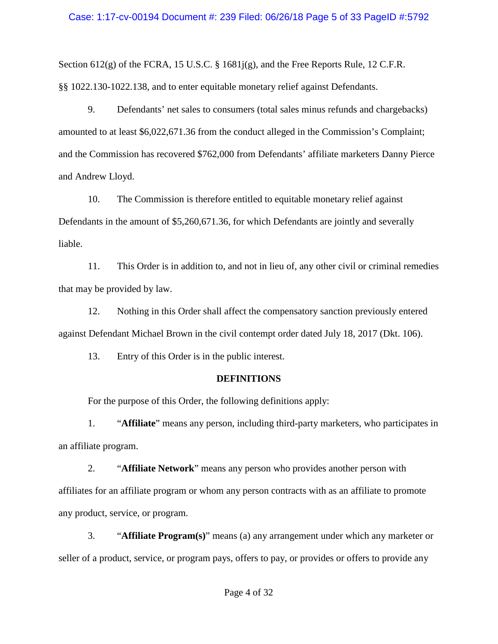## Case: 1:17-cv-00194 Document #: 239 Filed: 06/26/18 Page 5 of 33 PageID #:5792

Section 612(g) of the FCRA, 15 U.S.C. § 1681j(g), and the Free Reports Rule, 12 C.F.R. §§ 1022.130-1022.138, and to enter equitable monetary relief against Defendants.

9. Defendants' net sales to consumers (total sales minus refunds and chargebacks) amounted to at least \$6,022,671.36 from the conduct alleged in the Commission's Complaint; and the Commission has recovered \$762,000 from Defendants' affiliate marketers Danny Pierce and Andrew Lloyd.

10. The Commission is therefore entitled to equitable monetary relief against Defendants in the amount of \$5,260,671.36, for which Defendants are jointly and severally liable.

11. This Order is in addition to, and not in lieu of, any other civil or criminal remedies that may be provided by law.

12. Nothing in this Order shall affect the compensatory sanction previously entered against Defendant Michael Brown in the civil contempt order dated July 18, 2017 (Dkt. 106).

13. Entry of this Order is in the public interest.

# **DEFINITIONS**

For the purpose of this Order, the following definitions apply:

1. "**Affiliate**" means any person, including third-party marketers, who participates in an affiliate program.

2. "**Affiliate Network**" means any person who provides another person with affiliates for an affiliate program or whom any person contracts with as an affiliate to promote any product, service, or program.

3. "**Affiliate Program(s)**" means (a) any arrangement under which any marketer or seller of a product, service, or program pays, offers to pay, or provides or offers to provide any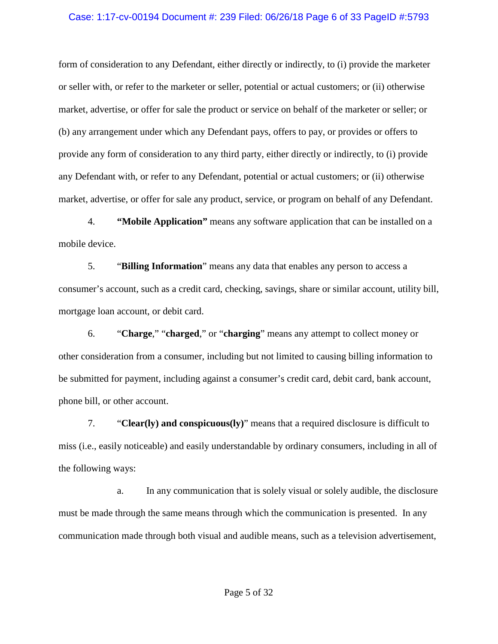## Case: 1:17-cv-00194 Document #: 239 Filed: 06/26/18 Page 6 of 33 PageID #:5793

form of consideration to any Defendant, either directly or indirectly, to (i) provide the marketer or seller with, or refer to the marketer or seller, potential or actual customers; or (ii) otherwise market, advertise, or offer for sale the product or service on behalf of the marketer or seller; or (b) any arrangement under which any Defendant pays, offers to pay, or provides or offers to provide any form of consideration to any third party, either directly or indirectly, to (i) provide any Defendant with, or refer to any Defendant, potential or actual customers; or (ii) otherwise market, advertise, or offer for sale any product, service, or program on behalf of any Defendant.

4. **"Mobile Application"** means any software application that can be installed on a mobile device.

5. "**Billing Information**" means any data that enables any person to access a consumer's account, such as a credit card, checking, savings, share or similar account, utility bill, mortgage loan account, or debit card.

6. "**Charge**," "**charged**," or "**charging**" means any attempt to collect money or other consideration from a consumer, including but not limited to causing billing information to be submitted for payment, including against a consumer's credit card, debit card, bank account, phone bill, or other account.

7. "**Clear(ly) and conspicuous(ly)**" means that a required disclosure is difficult to miss (i.e., easily noticeable) and easily understandable by ordinary consumers, including in all of the following ways:

a. In any communication that is solely visual or solely audible, the disclosure must be made through the same means through which the communication is presented. In any communication made through both visual and audible means, such as a television advertisement,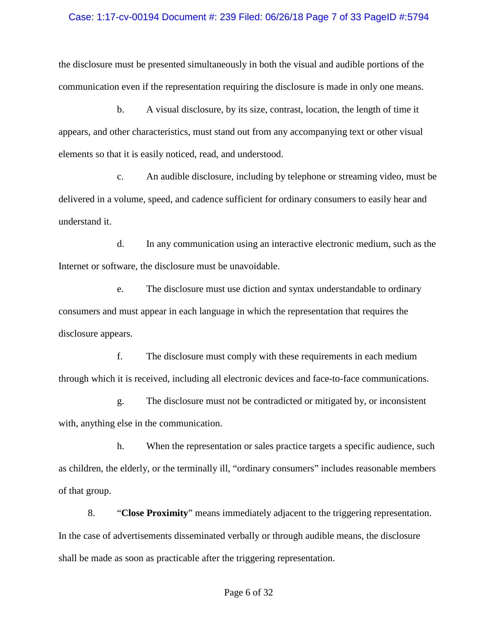#### Case: 1:17-cv-00194 Document #: 239 Filed: 06/26/18 Page 7 of 33 PageID #:5794

the disclosure must be presented simultaneously in both the visual and audible portions of the communication even if the representation requiring the disclosure is made in only one means.

b. A visual disclosure, by its size, contrast, location, the length of time it appears, and other characteristics, must stand out from any accompanying text or other visual elements so that it is easily noticed, read, and understood.

c. An audible disclosure, including by telephone or streaming video, must be delivered in a volume, speed, and cadence sufficient for ordinary consumers to easily hear and understand it.

d. In any communication using an interactive electronic medium, such as the Internet or software, the disclosure must be unavoidable.

e. The disclosure must use diction and syntax understandable to ordinary consumers and must appear in each language in which the representation that requires the disclosure appears.

f. The disclosure must comply with these requirements in each medium through which it is received, including all electronic devices and face-to-face communications.

g. The disclosure must not be contradicted or mitigated by, or inconsistent with, anything else in the communication.

h. When the representation or sales practice targets a specific audience, such as children, the elderly, or the terminally ill, "ordinary consumers" includes reasonable members of that group.

8. "**Close Proximity**" means immediately adjacent to the triggering representation. In the case of advertisements disseminated verbally or through audible means, the disclosure shall be made as soon as practicable after the triggering representation.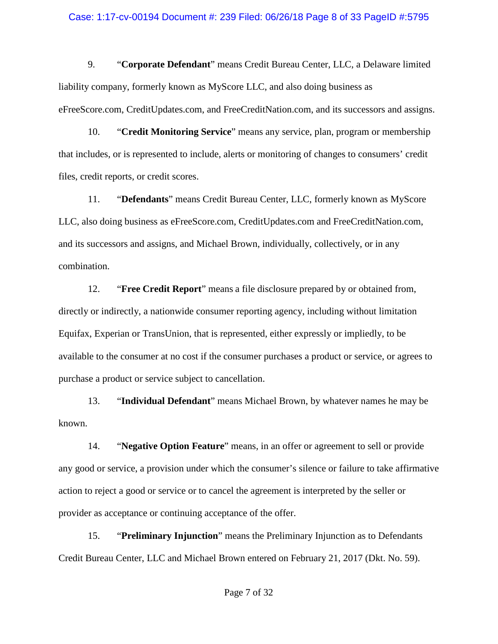#### Case: 1:17-cv-00194 Document #: 239 Filed: 06/26/18 Page 8 of 33 PageID #:5795

9. "**Corporate Defendant**" means Credit Bureau Center, LLC, a Delaware limited liability company, formerly known as MyScore LLC, and also doing business as eFreeScore.com, CreditUpdates.com, and FreeCreditNation.com, and its successors and assigns.

10. "**Credit Monitoring Service**" means any service, plan, program or membership that includes, or is represented to include, alerts or monitoring of changes to consumers' credit files, credit reports, or credit scores.

11. "**Defendants**" means Credit Bureau Center, LLC, formerly known as MyScore LLC, also doing business as eFreeScore.com, CreditUpdates.com and FreeCreditNation.com, and its successors and assigns, and Michael Brown, individually, collectively, or in any combination.

12. "**Free Credit Report**" means a file disclosure prepared by or obtained from, directly or indirectly, a nationwide consumer reporting agency, including without limitation Equifax, Experian or TransUnion, that is represented, either expressly or impliedly, to be available to the consumer at no cost if the consumer purchases a product or service, or agrees to purchase a product or service subject to cancellation.

13. "**Individual Defendant**" means Michael Brown, by whatever names he may be known.

14. "**Negative Option Feature**" means, in an offer or agreement to sell or provide any good or service, a provision under which the consumer's silence or failure to take affirmative action to reject a good or service or to cancel the agreement is interpreted by the seller or provider as acceptance or continuing acceptance of the offer.

15. "**Preliminary Injunction**" means the Preliminary Injunction as to Defendants Credit Bureau Center, LLC and Michael Brown entered on February 21, 2017 (Dkt. No. 59).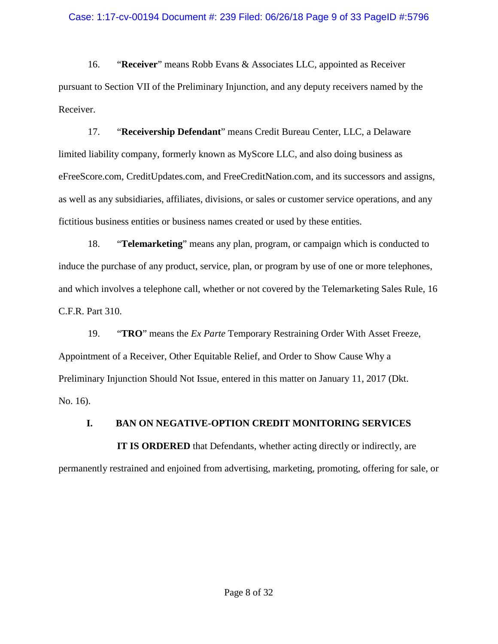16. "**Receiver**" means Robb Evans & Associates LLC, appointed as Receiver pursuant to Section VII of the Preliminary Injunction, and any deputy receivers named by the Receiver.

17. "**Receivership Defendant**" means Credit Bureau Center, LLC, a Delaware limited liability company, formerly known as MyScore LLC, and also doing business as eFreeScore.com, CreditUpdates.com, and FreeCreditNation.com, and its successors and assigns, as well as any subsidiaries, affiliates, divisions, or sales or customer service operations, and any fictitious business entities or business names created or used by these entities.

18. "**Telemarketing**" means any plan, program, or campaign which is conducted to induce the purchase of any product, service, plan, or program by use of one or more telephones, and which involves a telephone call, whether or not covered by the Telemarketing Sales Rule, 16 C.F.R. Part 310.

19. "**TRO**" means the *Ex Parte* Temporary Restraining Order With Asset Freeze, Appointment of a Receiver, Other Equitable Relief, and Order to Show Cause Why a Preliminary Injunction Should Not Issue, entered in this matter on January 11, 2017 (Dkt. No. 16).

# **I. BAN ON NEGATIVE-OPTION CREDIT MONITORING SERVICES**

**IT IS ORDERED** that Defendants, whether acting directly or indirectly, are permanently restrained and enjoined from advertising, marketing, promoting, offering for sale, or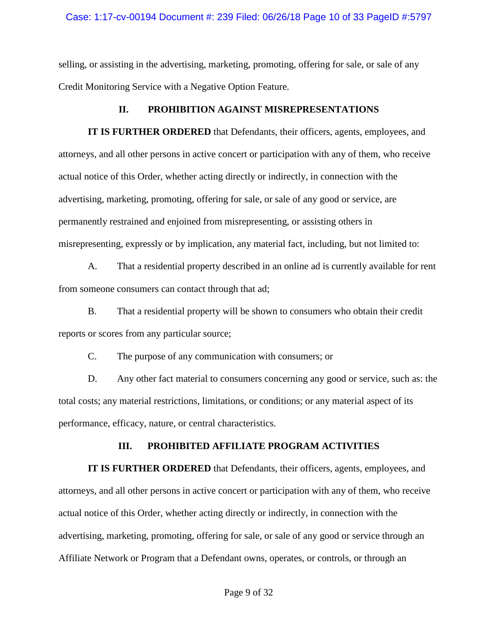## Case: 1:17-cv-00194 Document #: 239 Filed: 06/26/18 Page 10 of 33 PageID #:5797

selling, or assisting in the advertising, marketing, promoting, offering for sale, or sale of any Credit Monitoring Service with a Negative Option Feature.

# **II. PROHIBITION AGAINST MISREPRESENTATIONS**

**IT IS FURTHER ORDERED** that Defendants, their officers, agents, employees, and attorneys, and all other persons in active concert or participation with any of them, who receive actual notice of this Order, whether acting directly or indirectly, in connection with the advertising, marketing, promoting, offering for sale, or sale of any good or service, are permanently restrained and enjoined from misrepresenting, or assisting others in misrepresenting, expressly or by implication, any material fact, including, but not limited to:

A. That a residential property described in an online ad is currently available for rent from someone consumers can contact through that ad;

B. That a residential property will be shown to consumers who obtain their credit reports or scores from any particular source;

C. The purpose of any communication with consumers; or

D. Any other fact material to consumers concerning any good or service, such as: the total costs; any material restrictions, limitations, or conditions; or any material aspect of its performance, efficacy, nature, or central characteristics.

# **III. PROHIBITED AFFILIATE PROGRAM ACTIVITIES**

**IT IS FURTHER ORDERED** that Defendants, their officers, agents, employees, and attorneys, and all other persons in active concert or participation with any of them, who receive actual notice of this Order, whether acting directly or indirectly, in connection with the advertising, marketing, promoting, offering for sale, or sale of any good or service through an Affiliate Network or Program that a Defendant owns, operates, or controls, or through an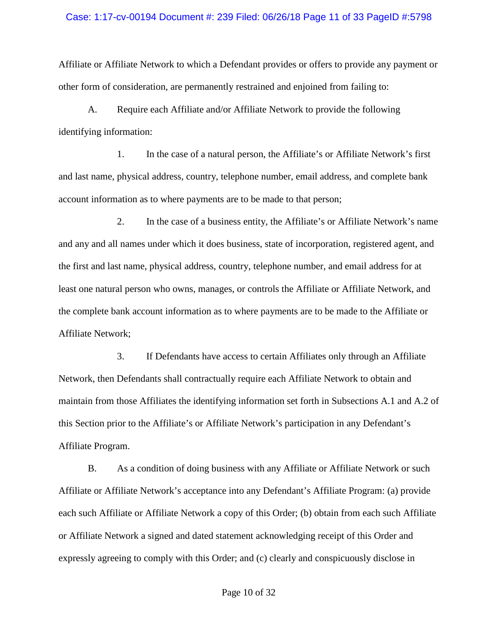#### Case: 1:17-cv-00194 Document #: 239 Filed: 06/26/18 Page 11 of 33 PageID #:5798

Affiliate or Affiliate Network to which a Defendant provides or offers to provide any payment or other form of consideration, are permanently restrained and enjoined from failing to:

A. Require each Affiliate and/or Affiliate Network to provide the following identifying information:

1. In the case of a natural person, the Affiliate's or Affiliate Network's first and last name, physical address, country, telephone number, email address, and complete bank account information as to where payments are to be made to that person;

2. In the case of a business entity, the Affiliate's or Affiliate Network's name and any and all names under which it does business, state of incorporation, registered agent, and the first and last name, physical address, country, telephone number, and email address for at least one natural person who owns, manages, or controls the Affiliate or Affiliate Network, and the complete bank account information as to where payments are to be made to the Affiliate or Affiliate Network;

3. If Defendants have access to certain Affiliates only through an Affiliate Network, then Defendants shall contractually require each Affiliate Network to obtain and maintain from those Affiliates the identifying information set forth in Subsections A.1 and A.2 of this Section prior to the Affiliate's or Affiliate Network's participation in any Defendant's Affiliate Program.

B. As a condition of doing business with any Affiliate or Affiliate Network or such Affiliate or Affiliate Network's acceptance into any Defendant's Affiliate Program: (a) provide each such Affiliate or Affiliate Network a copy of this Order; (b) obtain from each such Affiliate or Affiliate Network a signed and dated statement acknowledging receipt of this Order and expressly agreeing to comply with this Order; and (c) clearly and conspicuously disclose in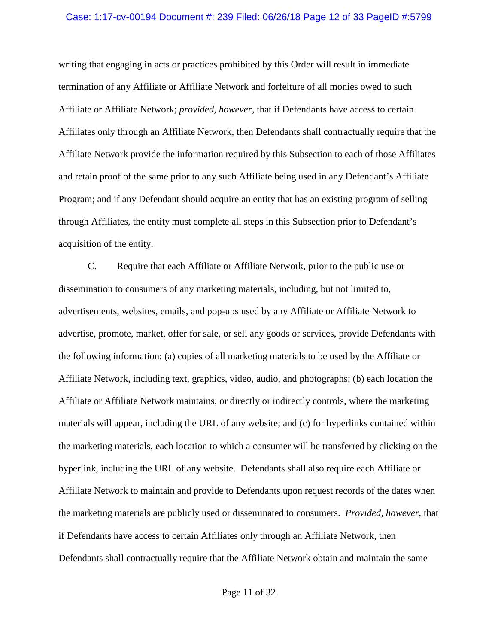## Case: 1:17-cv-00194 Document #: 239 Filed: 06/26/18 Page 12 of 33 PageID #:5799

writing that engaging in acts or practices prohibited by this Order will result in immediate termination of any Affiliate or Affiliate Network and forfeiture of all monies owed to such Affiliate or Affiliate Network; *provided, however*, that if Defendants have access to certain Affiliates only through an Affiliate Network, then Defendants shall contractually require that the Affiliate Network provide the information required by this Subsection to each of those Affiliates and retain proof of the same prior to any such Affiliate being used in any Defendant's Affiliate Program; and if any Defendant should acquire an entity that has an existing program of selling through Affiliates, the entity must complete all steps in this Subsection prior to Defendant's acquisition of the entity.

C. Require that each Affiliate or Affiliate Network, prior to the public use or dissemination to consumers of any marketing materials, including, but not limited to, advertisements, websites, emails, and pop-ups used by any Affiliate or Affiliate Network to advertise, promote, market, offer for sale, or sell any goods or services, provide Defendants with the following information: (a) copies of all marketing materials to be used by the Affiliate or Affiliate Network, including text, graphics, video, audio, and photographs; (b) each location the Affiliate or Affiliate Network maintains, or directly or indirectly controls, where the marketing materials will appear, including the URL of any website; and (c) for hyperlinks contained within the marketing materials, each location to which a consumer will be transferred by clicking on the hyperlink, including the URL of any website. Defendants shall also require each Affiliate or Affiliate Network to maintain and provide to Defendants upon request records of the dates when the marketing materials are publicly used or disseminated to consumers. *Provided, however*, that if Defendants have access to certain Affiliates only through an Affiliate Network, then Defendants shall contractually require that the Affiliate Network obtain and maintain the same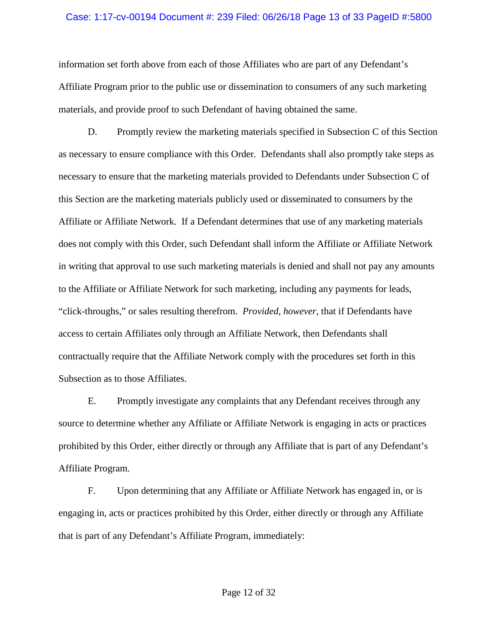#### Case: 1:17-cv-00194 Document #: 239 Filed: 06/26/18 Page 13 of 33 PageID #:5800

information set forth above from each of those Affiliates who are part of any Defendant's Affiliate Program prior to the public use or dissemination to consumers of any such marketing materials, and provide proof to such Defendant of having obtained the same.

D. Promptly review the marketing materials specified in Subsection C of this Section as necessary to ensure compliance with this Order. Defendants shall also promptly take steps as necessary to ensure that the marketing materials provided to Defendants under Subsection C of this Section are the marketing materials publicly used or disseminated to consumers by the Affiliate or Affiliate Network. If a Defendant determines that use of any marketing materials does not comply with this Order, such Defendant shall inform the Affiliate or Affiliate Network in writing that approval to use such marketing materials is denied and shall not pay any amounts to the Affiliate or Affiliate Network for such marketing, including any payments for leads, "click-throughs," or sales resulting therefrom. *Provided, however*, that if Defendants have access to certain Affiliates only through an Affiliate Network, then Defendants shall contractually require that the Affiliate Network comply with the procedures set forth in this Subsection as to those Affiliates.

E. Promptly investigate any complaints that any Defendant receives through any source to determine whether any Affiliate or Affiliate Network is engaging in acts or practices prohibited by this Order, either directly or through any Affiliate that is part of any Defendant's Affiliate Program.

F. Upon determining that any Affiliate or Affiliate Network has engaged in, or is engaging in, acts or practices prohibited by this Order, either directly or through any Affiliate that is part of any Defendant's Affiliate Program, immediately: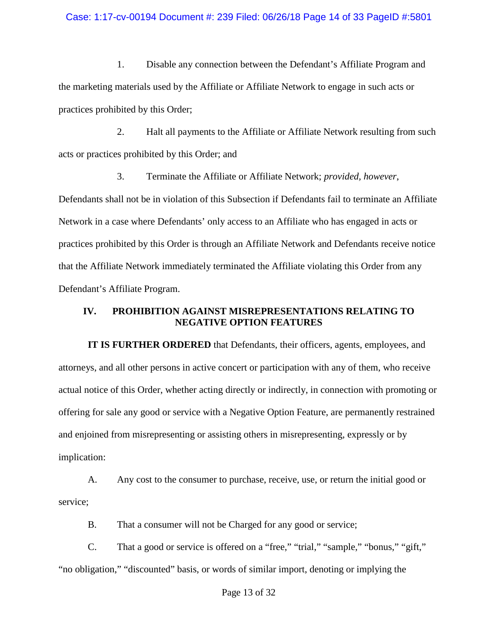#### Case: 1:17-cv-00194 Document #: 239 Filed: 06/26/18 Page 14 of 33 PageID #:5801

1. Disable any connection between the Defendant's Affiliate Program and the marketing materials used by the Affiliate or Affiliate Network to engage in such acts or practices prohibited by this Order;

2. Halt all payments to the Affiliate or Affiliate Network resulting from such acts or practices prohibited by this Order; and

3. Terminate the Affiliate or Affiliate Network; *provided, however*, Defendants shall not be in violation of this Subsection if Defendants fail to terminate an Affiliate Network in a case where Defendants' only access to an Affiliate who has engaged in acts or practices prohibited by this Order is through an Affiliate Network and Defendants receive notice that the Affiliate Network immediately terminated the Affiliate violating this Order from any Defendant's Affiliate Program.

## **IV. PROHIBITION AGAINST MISREPRESENTATIONS RELATING TO NEGATIVE OPTION FEATURES**

**IT IS FURTHER ORDERED** that Defendants, their officers, agents, employees, and attorneys, and all other persons in active concert or participation with any of them, who receive actual notice of this Order, whether acting directly or indirectly, in connection with promoting or offering for sale any good or service with a Negative Option Feature, are permanently restrained and enjoined from misrepresenting or assisting others in misrepresenting, expressly or by implication:

A. Any cost to the consumer to purchase, receive, use, or return the initial good or service;

B. That a consumer will not be Charged for any good or service;

C. That a good or service is offered on a "free," "trial," "sample," "bonus," "gift," "no obligation," "discounted" basis, or words of similar import, denoting or implying the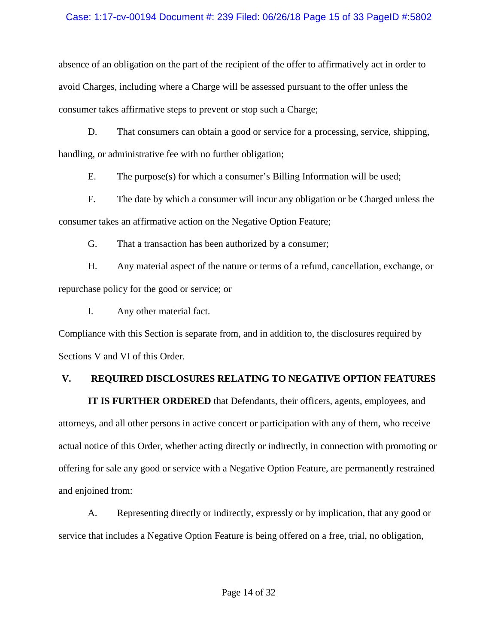## Case: 1:17-cv-00194 Document #: 239 Filed: 06/26/18 Page 15 of 33 PageID #:5802

absence of an obligation on the part of the recipient of the offer to affirmatively act in order to avoid Charges, including where a Charge will be assessed pursuant to the offer unless the consumer takes affirmative steps to prevent or stop such a Charge;

D. That consumers can obtain a good or service for a processing, service, shipping, handling, or administrative fee with no further obligation;

E. The purpose(s) for which a consumer's Billing Information will be used;

F. The date by which a consumer will incur any obligation or be Charged unless the consumer takes an affirmative action on the Negative Option Feature;

G. That a transaction has been authorized by a consumer;

H. Any material aspect of the nature or terms of a refund, cancellation, exchange, or repurchase policy for the good or service; or

I. Any other material fact.

Compliance with this Section is separate from, and in addition to, the disclosures required by Sections V and VI of this Order.

# **V. REQUIRED DISCLOSURES RELATING TO NEGATIVE OPTION FEATURES**

**IT IS FURTHER ORDERED** that Defendants, their officers, agents, employees, and attorneys, and all other persons in active concert or participation with any of them, who receive actual notice of this Order, whether acting directly or indirectly, in connection with promoting or offering for sale any good or service with a Negative Option Feature, are permanently restrained and enjoined from:

A. Representing directly or indirectly, expressly or by implication, that any good or service that includes a Negative Option Feature is being offered on a free, trial, no obligation,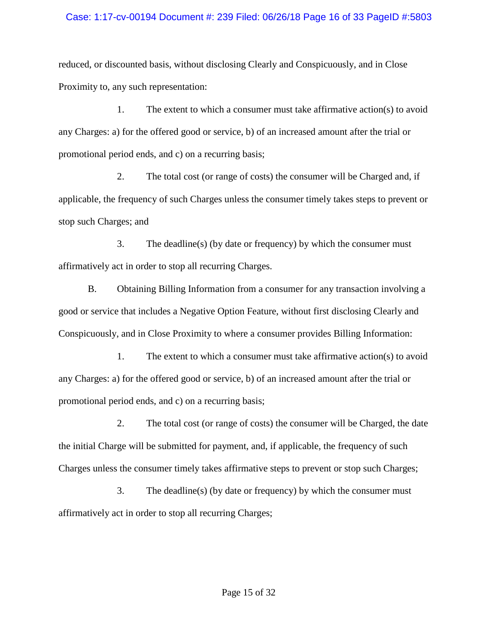## Case: 1:17-cv-00194 Document #: 239 Filed: 06/26/18 Page 16 of 33 PageID #:5803

reduced, or discounted basis, without disclosing Clearly and Conspicuously, and in Close Proximity to, any such representation:

1. The extent to which a consumer must take affirmative action(s) to avoid any Charges: a) for the offered good or service, b) of an increased amount after the trial or promotional period ends, and c) on a recurring basis;

2. The total cost (or range of costs) the consumer will be Charged and, if applicable, the frequency of such Charges unless the consumer timely takes steps to prevent or stop such Charges; and

3. The deadline(s) (by date or frequency) by which the consumer must affirmatively act in order to stop all recurring Charges.

B. Obtaining Billing Information from a consumer for any transaction involving a good or service that includes a Negative Option Feature, without first disclosing Clearly and Conspicuously, and in Close Proximity to where a consumer provides Billing Information:

1. The extent to which a consumer must take affirmative action(s) to avoid any Charges: a) for the offered good or service, b) of an increased amount after the trial or promotional period ends, and c) on a recurring basis;

2. The total cost (or range of costs) the consumer will be Charged, the date the initial Charge will be submitted for payment, and, if applicable, the frequency of such Charges unless the consumer timely takes affirmative steps to prevent or stop such Charges;

3. The deadline(s) (by date or frequency) by which the consumer must affirmatively act in order to stop all recurring Charges;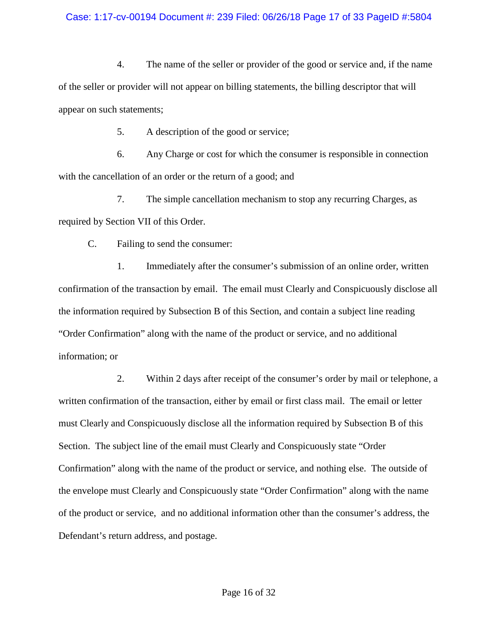## Case: 1:17-cv-00194 Document #: 239 Filed: 06/26/18 Page 17 of 33 PageID #:5804

4. The name of the seller or provider of the good or service and, if the name of the seller or provider will not appear on billing statements, the billing descriptor that will appear on such statements;

5. A description of the good or service;

6. Any Charge or cost for which the consumer is responsible in connection with the cancellation of an order or the return of a good; and

7. The simple cancellation mechanism to stop any recurring Charges, as required by Section VII of this Order.

C. Failing to send the consumer:

1. Immediately after the consumer's submission of an online order, written confirmation of the transaction by email. The email must Clearly and Conspicuously disclose all the information required by Subsection B of this Section, and contain a subject line reading "Order Confirmation" along with the name of the product or service, and no additional information; or

2. Within 2 days after receipt of the consumer's order by mail or telephone, a written confirmation of the transaction, either by email or first class mail. The email or letter must Clearly and Conspicuously disclose all the information required by Subsection B of this Section. The subject line of the email must Clearly and Conspicuously state "Order Confirmation" along with the name of the product or service, and nothing else. The outside of the envelope must Clearly and Conspicuously state "Order Confirmation" along with the name of the product or service, and no additional information other than the consumer's address, the Defendant's return address, and postage.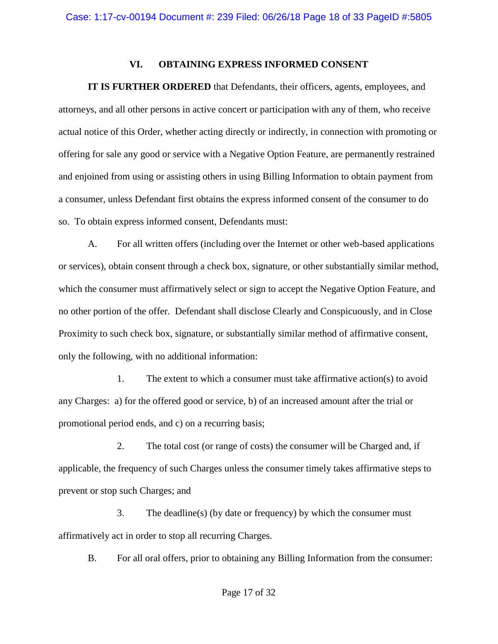## **VI. OBTAINING EXPRESS INFORMED CONSENT**

**IT IS FURTHER ORDERED** that Defendants, their officers, agents, employees, and attorneys, and all other persons in active concert or participation with any of them, who receive actual notice of this Order, whether acting directly or indirectly, in connection with promoting or offering for sale any good or service with a Negative Option Feature, are permanently restrained and enjoined from using or assisting others in using Billing Information to obtain payment from a consumer, unless Defendant first obtains the express informed consent of the consumer to do so. To obtain express informed consent, Defendants must:

A. For all written offers (including over the Internet or other web-based applications or services), obtain consent through a check box, signature, or other substantially similar method, which the consumer must affirmatively select or sign to accept the Negative Option Feature, and no other portion of the offer. Defendant shall disclose Clearly and Conspicuously, and in Close Proximity to such check box, signature, or substantially similar method of affirmative consent, only the following, with no additional information:

1. The extent to which a consumer must take affirmative action(s) to avoid any Charges: a) for the offered good or service, b) of an increased amount after the trial or promotional period ends, and c) on a recurring basis;

2. The total cost (or range of costs) the consumer will be Charged and, if applicable, the frequency of such Charges unless the consumer timely takes affirmative steps to prevent or stop such Charges; and

3. The deadline(s) (by date or frequency) by which the consumer must affirmatively act in order to stop all recurring Charges.

B. For all oral offers, prior to obtaining any Billing Information from the consumer: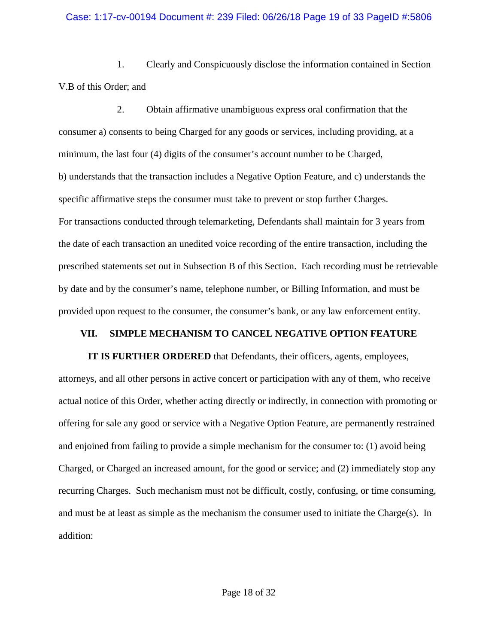## Case: 1:17-cv-00194 Document #: 239 Filed: 06/26/18 Page 19 of 33 PageID #:5806

1. Clearly and Conspicuously disclose the information contained in Section V.B of this Order; and

2. Obtain affirmative unambiguous express oral confirmation that the consumer a) consents to being Charged for any goods or services, including providing, at a minimum, the last four (4) digits of the consumer's account number to be Charged, b) understands that the transaction includes a Negative Option Feature, and c) understands the specific affirmative steps the consumer must take to prevent or stop further Charges. For transactions conducted through telemarketing, Defendants shall maintain for 3 years from the date of each transaction an unedited voice recording of the entire transaction, including the prescribed statements set out in Subsection B of this Section. Each recording must be retrievable by date and by the consumer's name, telephone number, or Billing Information, and must be provided upon request to the consumer, the consumer's bank, or any law enforcement entity.

#### **VII. SIMPLE MECHANISM TO CANCEL NEGATIVE OPTION FEATURE**

**IT IS FURTHER ORDERED** that Defendants, their officers, agents, employees, attorneys, and all other persons in active concert or participation with any of them, who receive actual notice of this Order, whether acting directly or indirectly, in connection with promoting or offering for sale any good or service with a Negative Option Feature, are permanently restrained and enjoined from failing to provide a simple mechanism for the consumer to: (1) avoid being Charged, or Charged an increased amount, for the good or service; and (2) immediately stop any recurring Charges. Such mechanism must not be difficult, costly, confusing, or time consuming, and must be at least as simple as the mechanism the consumer used to initiate the Charge(s). In addition: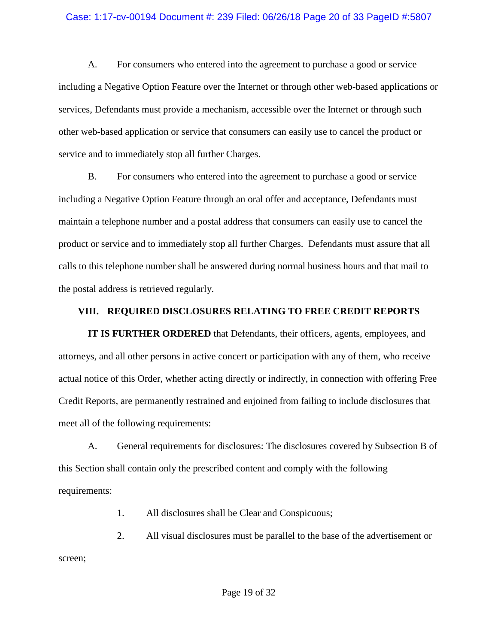### Case: 1:17-cv-00194 Document #: 239 Filed: 06/26/18 Page 20 of 33 PageID #:5807

A. For consumers who entered into the agreement to purchase a good or service including a Negative Option Feature over the Internet or through other web-based applications or services, Defendants must provide a mechanism, accessible over the Internet or through such other web-based application or service that consumers can easily use to cancel the product or service and to immediately stop all further Charges.

B. For consumers who entered into the agreement to purchase a good or service including a Negative Option Feature through an oral offer and acceptance, Defendants must maintain a telephone number and a postal address that consumers can easily use to cancel the product or service and to immediately stop all further Charges. Defendants must assure that all calls to this telephone number shall be answered during normal business hours and that mail to the postal address is retrieved regularly.

## **VIII. REQUIRED DISCLOSURES RELATING TO FREE CREDIT REPORTS**

**IT IS FURTHER ORDERED** that Defendants, their officers, agents, employees, and attorneys, and all other persons in active concert or participation with any of them, who receive actual notice of this Order, whether acting directly or indirectly, in connection with offering Free Credit Reports, are permanently restrained and enjoined from failing to include disclosures that meet all of the following requirements:

A. General requirements for disclosures: The disclosures covered by Subsection B of this Section shall contain only the prescribed content and comply with the following requirements:

1. All disclosures shall be Clear and Conspicuous;

2. All visual disclosures must be parallel to the base of the advertisement or screen;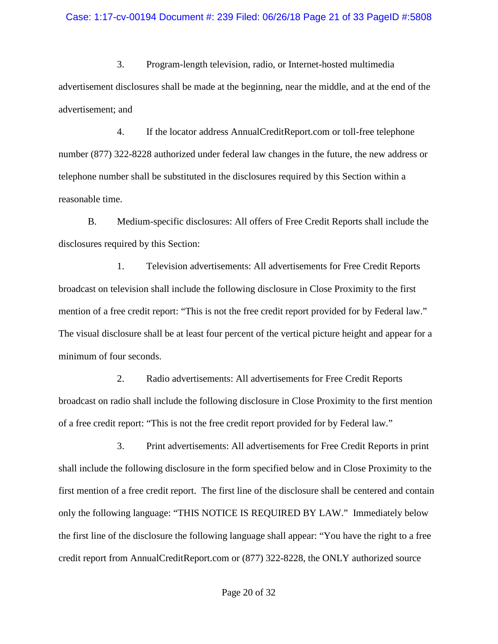#### Case: 1:17-cv-00194 Document #: 239 Filed: 06/26/18 Page 21 of 33 PageID #:5808

3. Program-length television, radio, or Internet-hosted multimedia advertisement disclosures shall be made at the beginning, near the middle, and at the end of the advertisement; and

4. If the locator address AnnualCreditReport.com or toll-free telephone number (877) 322-8228 authorized under federal law changes in the future, the new address or telephone number shall be substituted in the disclosures required by this Section within a reasonable time.

B. Medium-specific disclosures: All offers of Free Credit Reports shall include the disclosures required by this Section:

1. Television advertisements: All advertisements for Free Credit Reports broadcast on television shall include the following disclosure in Close Proximity to the first mention of a free credit report: "This is not the free credit report provided for by Federal law." The visual disclosure shall be at least four percent of the vertical picture height and appear for a minimum of four seconds.

2. Radio advertisements: All advertisements for Free Credit Reports broadcast on radio shall include the following disclosure in Close Proximity to the first mention of a free credit report: "This is not the free credit report provided for by Federal law."

3. Print advertisements: All advertisements for Free Credit Reports in print shall include the following disclosure in the form specified below and in Close Proximity to the first mention of a free credit report. The first line of the disclosure shall be centered and contain only the following language: "THIS NOTICE IS REQUIRED BY LAW." Immediately below the first line of the disclosure the following language shall appear: "You have the right to a free credit report from AnnualCreditReport.com or (877) 322-8228, the ONLY authorized source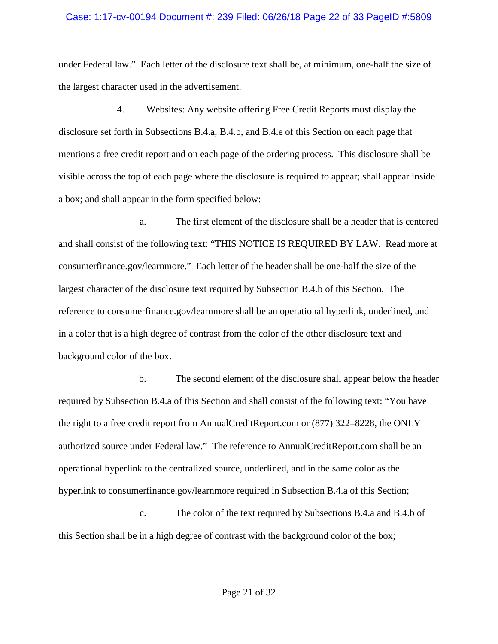#### Case: 1:17-cv-00194 Document #: 239 Filed: 06/26/18 Page 22 of 33 PageID #:5809

under Federal law." Each letter of the disclosure text shall be, at minimum, one-half the size of the largest character used in the advertisement.

4. Websites: Any website offering Free Credit Reports must display the disclosure set forth in Subsections B.4.a, B.4.b, and B.4.e of this Section on each page that mentions a free credit report and on each page of the ordering process. This disclosure shall be visible across the top of each page where the disclosure is required to appear; shall appear inside a box; and shall appear in the form specified below:

a. The first element of the disclosure shall be a header that is centered and shall consist of the following text: "THIS NOTICE IS REQUIRED BY LAW. Read more at consumerfinance.gov/learnmore." Each letter of the header shall be one-half the size of the largest character of the disclosure text required by Subsection B.4.b of this Section. The reference to consumerfinance.gov/learnmore shall be an operational hyperlink, underlined, and in a color that is a high degree of contrast from the color of the other disclosure text and background color of the box.

b. The second element of the disclosure shall appear below the header required by Subsection B.4.a of this Section and shall consist of the following text: "You have the right to a free credit report from AnnualCreditReport.com or (877) 322–8228, the ONLY authorized source under Federal law." The reference to AnnualCreditReport.com shall be an operational hyperlink to the centralized source, underlined, and in the same color as the hyperlink to consumerfinance.gov/learnmore required in Subsection B.4.a of this Section;

c. The color of the text required by Subsections B.4.a and B.4.b of this Section shall be in a high degree of contrast with the background color of the box;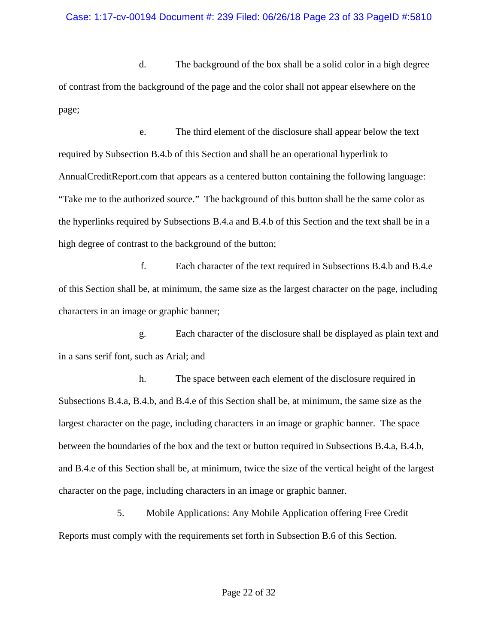d. The background of the box shall be a solid color in a high degree of contrast from the background of the page and the color shall not appear elsewhere on the page;

e. The third element of the disclosure shall appear below the text required by Subsection B.4.b of this Section and shall be an operational hyperlink to AnnualCreditReport.com that appears as a centered button containing the following language: "Take me to the authorized source." The background of this button shall be the same color as the hyperlinks required by Subsections B.4.a and B.4.b of this Section and the text shall be in a high degree of contrast to the background of the button;

f. Each character of the text required in Subsections B.4.b and B.4.e of this Section shall be, at minimum, the same size as the largest character on the page, including characters in an image or graphic banner;

g. Each character of the disclosure shall be displayed as plain text and in a sans serif font, such as Arial; and

h. The space between each element of the disclosure required in Subsections B.4.a, B.4.b, and B.4.e of this Section shall be, at minimum, the same size as the largest character on the page, including characters in an image or graphic banner. The space between the boundaries of the box and the text or button required in Subsections B.4.a, B.4.b, and B.4.e of this Section shall be, at minimum, twice the size of the vertical height of the largest character on the page, including characters in an image or graphic banner.

5. Mobile Applications: Any Mobile Application offering Free Credit Reports must comply with the requirements set forth in Subsection B.6 of this Section.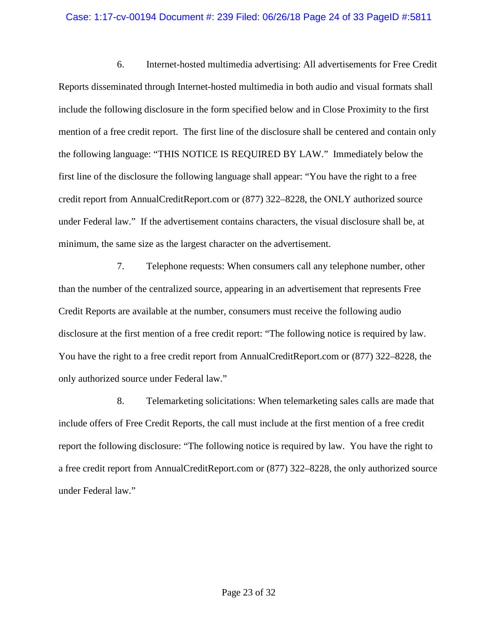## Case: 1:17-cv-00194 Document #: 239 Filed: 06/26/18 Page 24 of 33 PageID #:5811

6. Internet-hosted multimedia advertising: All advertisements for Free Credit Reports disseminated through Internet-hosted multimedia in both audio and visual formats shall include the following disclosure in the form specified below and in Close Proximity to the first mention of a free credit report. The first line of the disclosure shall be centered and contain only the following language: "THIS NOTICE IS REQUIRED BY LAW." Immediately below the first line of the disclosure the following language shall appear: "You have the right to a free credit report from AnnualCreditReport.com or (877) 322–8228, the ONLY authorized source under Federal law." If the advertisement contains characters, the visual disclosure shall be, at minimum, the same size as the largest character on the advertisement.

7. Telephone requests: When consumers call any telephone number, other than the number of the centralized source, appearing in an advertisement that represents Free Credit Reports are available at the number, consumers must receive the following audio disclosure at the first mention of a free credit report: "The following notice is required by law. You have the right to a free credit report from AnnualCreditReport.com or (877) 322–8228, the only authorized source under Federal law."

8. Telemarketing solicitations: When telemarketing sales calls are made that include offers of Free Credit Reports, the call must include at the first mention of a free credit report the following disclosure: "The following notice is required by law. You have the right to a free credit report from AnnualCreditReport.com or (877) 322–8228, the only authorized source under Federal law."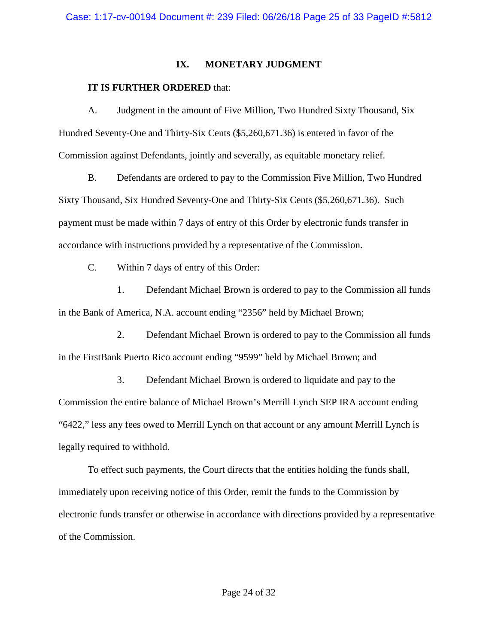## **IX. MONETARY JUDGMENT**

# **IT IS FURTHER ORDERED** that:

A. Judgment in the amount of Five Million, Two Hundred Sixty Thousand, Six Hundred Seventy-One and Thirty-Six Cents (\$5,260,671.36) is entered in favor of the Commission against Defendants, jointly and severally, as equitable monetary relief.

B. Defendants are ordered to pay to the Commission Five Million, Two Hundred Sixty Thousand, Six Hundred Seventy-One and Thirty-Six Cents (\$5,260,671.36). Such payment must be made within 7 days of entry of this Order by electronic funds transfer in accordance with instructions provided by a representative of the Commission.

C. Within 7 days of entry of this Order:

1. Defendant Michael Brown is ordered to pay to the Commission all funds in the Bank of America, N.A. account ending "2356" held by Michael Brown;

2. Defendant Michael Brown is ordered to pay to the Commission all funds in the FirstBank Puerto Rico account ending "9599" held by Michael Brown; and

3. Defendant Michael Brown is ordered to liquidate and pay to the Commission the entire balance of Michael Brown's Merrill Lynch SEP IRA account ending "6422," less any fees owed to Merrill Lynch on that account or any amount Merrill Lynch is legally required to withhold.

To effect such payments, the Court directs that the entities holding the funds shall, immediately upon receiving notice of this Order, remit the funds to the Commission by electronic funds transfer or otherwise in accordance with directions provided by a representative of the Commission.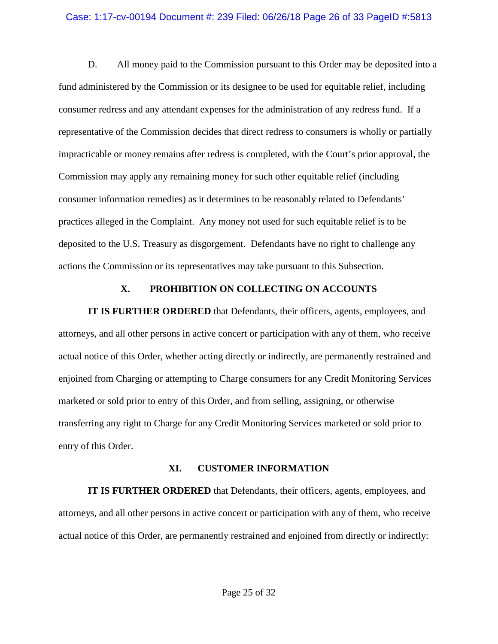### Case: 1:17-cv-00194 Document #: 239 Filed: 06/26/18 Page 26 of 33 PageID #:5813

D. All money paid to the Commission pursuant to this Order may be deposited into a fund administered by the Commission or its designee to be used for equitable relief, including consumer redress and any attendant expenses for the administration of any redress fund. If a representative of the Commission decides that direct redress to consumers is wholly or partially impracticable or money remains after redress is completed, with the Court's prior approval, the Commission may apply any remaining money for such other equitable relief (including consumer information remedies) as it determines to be reasonably related to Defendants' practices alleged in the Complaint. Any money not used for such equitable relief is to be deposited to the U.S. Treasury as disgorgement. Defendants have no right to challenge any actions the Commission or its representatives may take pursuant to this Subsection.

## **X. PROHIBITION ON COLLECTING ON ACCOUNTS**

**IT IS FURTHER ORDERED** that Defendants, their officers, agents, employees, and attorneys, and all other persons in active concert or participation with any of them, who receive actual notice of this Order, whether acting directly or indirectly, are permanently restrained and enjoined from Charging or attempting to Charge consumers for any Credit Monitoring Services marketed or sold prior to entry of this Order, and from selling, assigning, or otherwise transferring any right to Charge for any Credit Monitoring Services marketed or sold prior to entry of this Order.

#### **XI. CUSTOMER INFORMATION**

**IT IS FURTHER ORDERED** that Defendants, their officers, agents, employees, and attorneys, and all other persons in active concert or participation with any of them, who receive actual notice of this Order, are permanently restrained and enjoined from directly or indirectly: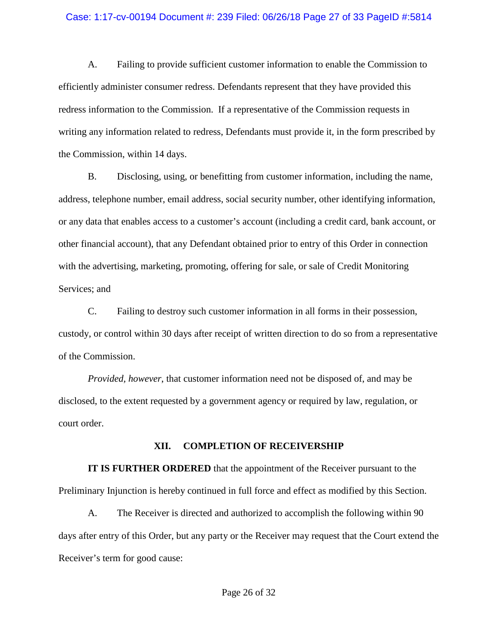#### Case: 1:17-cv-00194 Document #: 239 Filed: 06/26/18 Page 27 of 33 PageID #:5814

A. Failing to provide sufficient customer information to enable the Commission to efficiently administer consumer redress. Defendants represent that they have provided this redress information to the Commission. If a representative of the Commission requests in writing any information related to redress, Defendants must provide it, in the form prescribed by the Commission, within 14 days.

B. Disclosing, using, or benefitting from customer information, including the name, address, telephone number, email address, social security number, other identifying information, or any data that enables access to a customer's account (including a credit card, bank account, or other financial account), that any Defendant obtained prior to entry of this Order in connection with the advertising, marketing, promoting, offering for sale, or sale of Credit Monitoring Services; and

C. Failing to destroy such customer information in all forms in their possession, custody, or control within 30 days after receipt of written direction to do so from a representative of the Commission.

*Provided, however*, that customer information need not be disposed of, and may be disclosed, to the extent requested by a government agency or required by law, regulation, or court order.

#### **XII. COMPLETION OF RECEIVERSHIP**

**IT IS FURTHER ORDERED** that the appointment of the Receiver pursuant to the Preliminary Injunction is hereby continued in full force and effect as modified by this Section.

A. The Receiver is directed and authorized to accomplish the following within 90 days after entry of this Order, but any party or the Receiver may request that the Court extend the Receiver's term for good cause: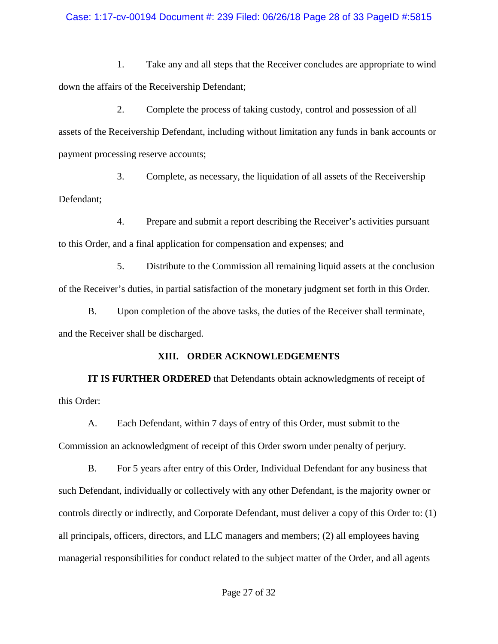## Case: 1:17-cv-00194 Document #: 239 Filed: 06/26/18 Page 28 of 33 PageID #:5815

1. Take any and all steps that the Receiver concludes are appropriate to wind down the affairs of the Receivership Defendant;

2. Complete the process of taking custody, control and possession of all assets of the Receivership Defendant, including without limitation any funds in bank accounts or payment processing reserve accounts;

3. Complete, as necessary, the liquidation of all assets of the Receivership Defendant;

4. Prepare and submit a report describing the Receiver's activities pursuant to this Order, and a final application for compensation and expenses; and

5. Distribute to the Commission all remaining liquid assets at the conclusion of the Receiver's duties, in partial satisfaction of the monetary judgment set forth in this Order.

B. Upon completion of the above tasks, the duties of the Receiver shall terminate, and the Receiver shall be discharged.

# **XIII. ORDER ACKNOWLEDGEMENTS**

**IT IS FURTHER ORDERED** that Defendants obtain acknowledgments of receipt of this Order:

A. Each Defendant, within 7 days of entry of this Order, must submit to the Commission an acknowledgment of receipt of this Order sworn under penalty of perjury.

B. For 5 years after entry of this Order, Individual Defendant for any business that such Defendant, individually or collectively with any other Defendant, is the majority owner or controls directly or indirectly, and Corporate Defendant, must deliver a copy of this Order to: (1) all principals, officers, directors, and LLC managers and members; (2) all employees having managerial responsibilities for conduct related to the subject matter of the Order, and all agents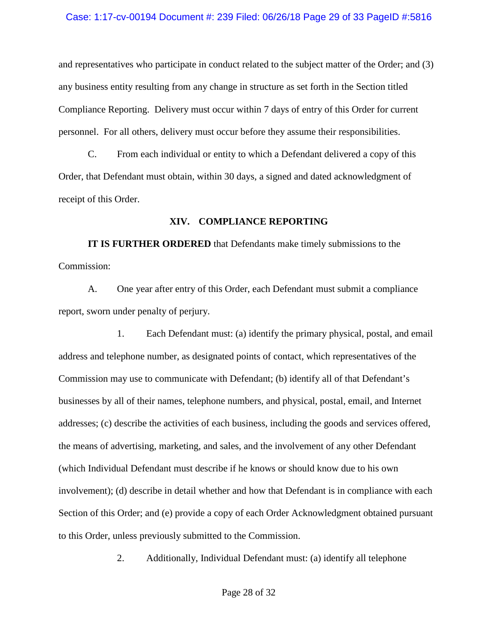### Case: 1:17-cv-00194 Document #: 239 Filed: 06/26/18 Page 29 of 33 PageID #:5816

and representatives who participate in conduct related to the subject matter of the Order; and (3) any business entity resulting from any change in structure as set forth in the Section titled Compliance Reporting. Delivery must occur within 7 days of entry of this Order for current personnel. For all others, delivery must occur before they assume their responsibilities.

C. From each individual or entity to which a Defendant delivered a copy of this Order, that Defendant must obtain, within 30 days, a signed and dated acknowledgment of receipt of this Order.

## **XIV. COMPLIANCE REPORTING**

**IT IS FURTHER ORDERED** that Defendants make timely submissions to the Commission:

A. One year after entry of this Order, each Defendant must submit a compliance report, sworn under penalty of perjury.

1. Each Defendant must: (a) identify the primary physical, postal, and email address and telephone number, as designated points of contact, which representatives of the Commission may use to communicate with Defendant; (b) identify all of that Defendant's businesses by all of their names, telephone numbers, and physical, postal, email, and Internet addresses; (c) describe the activities of each business, including the goods and services offered, the means of advertising, marketing, and sales, and the involvement of any other Defendant (which Individual Defendant must describe if he knows or should know due to his own involvement); (d) describe in detail whether and how that Defendant is in compliance with each Section of this Order; and (e) provide a copy of each Order Acknowledgment obtained pursuant to this Order, unless previously submitted to the Commission.

2. Additionally, Individual Defendant must: (a) identify all telephone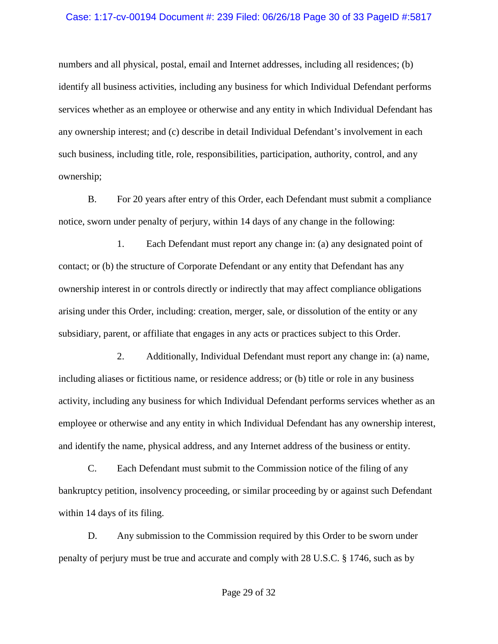#### Case: 1:17-cv-00194 Document #: 239 Filed: 06/26/18 Page 30 of 33 PageID #:5817

numbers and all physical, postal, email and Internet addresses, including all residences; (b) identify all business activities, including any business for which Individual Defendant performs services whether as an employee or otherwise and any entity in which Individual Defendant has any ownership interest; and (c) describe in detail Individual Defendant's involvement in each such business, including title, role, responsibilities, participation, authority, control, and any ownership;

B. For 20 years after entry of this Order, each Defendant must submit a compliance notice, sworn under penalty of perjury, within 14 days of any change in the following:

1. Each Defendant must report any change in: (a) any designated point of contact; or (b) the structure of Corporate Defendant or any entity that Defendant has any ownership interest in or controls directly or indirectly that may affect compliance obligations arising under this Order, including: creation, merger, sale, or dissolution of the entity or any subsidiary, parent, or affiliate that engages in any acts or practices subject to this Order.

2. Additionally, Individual Defendant must report any change in: (a) name, including aliases or fictitious name, or residence address; or (b) title or role in any business activity, including any business for which Individual Defendant performs services whether as an employee or otherwise and any entity in which Individual Defendant has any ownership interest, and identify the name, physical address, and any Internet address of the business or entity.

C. Each Defendant must submit to the Commission notice of the filing of any bankruptcy petition, insolvency proceeding, or similar proceeding by or against such Defendant within 14 days of its filing.

D. Any submission to the Commission required by this Order to be sworn under penalty of perjury must be true and accurate and comply with 28 U.S.C. § 1746, such as by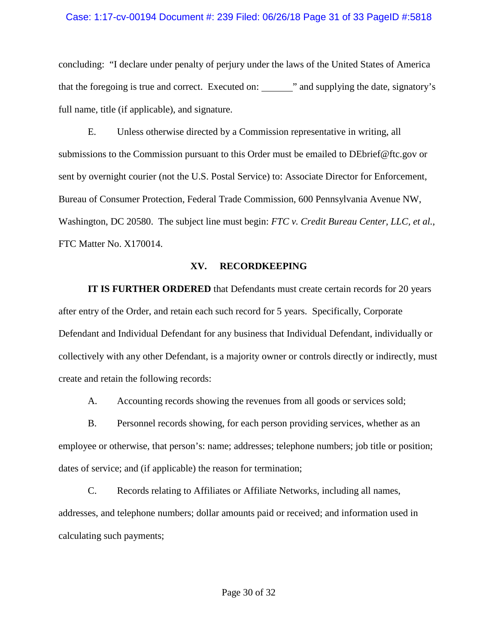#### Case: 1:17-cv-00194 Document #: 239 Filed: 06/26/18 Page 31 of 33 PageID #:5818

concluding: "I declare under penalty of perjury under the laws of the United States of America that the foregoing is true and correct. Executed on: " and supplying the date, signatory's full name, title (if applicable), and signature.

E. Unless otherwise directed by a Commission representative in writing, all submissions to the Commission pursuant to this Order must be emailed to DEbrief@ftc.gov or sent by overnight courier (not the U.S. Postal Service) to: Associate Director for Enforcement, Bureau of Consumer Protection, Federal Trade Commission, 600 Pennsylvania Avenue NW, Washington, DC 20580. The subject line must begin: *FTC v. Credit Bureau Center, LLC, et al.*, FTC Matter No. X170014.

## **XV. RECORDKEEPING**

**IT IS FURTHER ORDERED** that Defendants must create certain records for 20 years after entry of the Order, and retain each such record for 5 years. Specifically, Corporate Defendant and Individual Defendant for any business that Individual Defendant, individually or collectively with any other Defendant, is a majority owner or controls directly or indirectly, must create and retain the following records:

A. Accounting records showing the revenues from all goods or services sold;

B. Personnel records showing, for each person providing services, whether as an employee or otherwise, that person's: name; addresses; telephone numbers; job title or position; dates of service; and (if applicable) the reason for termination;

C. Records relating to Affiliates or Affiliate Networks, including all names, addresses, and telephone numbers; dollar amounts paid or received; and information used in calculating such payments;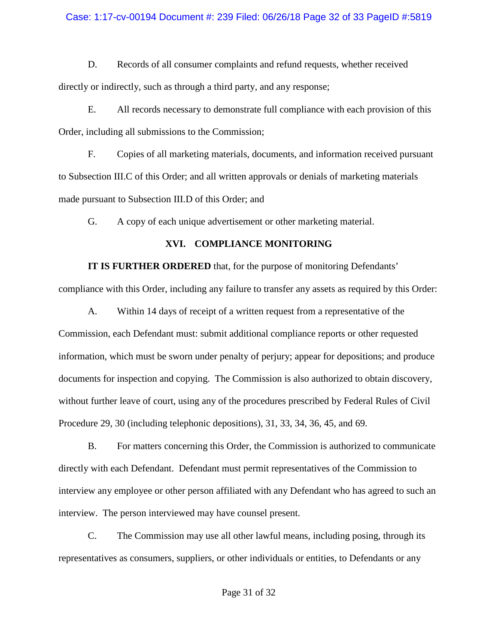## Case: 1:17-cv-00194 Document #: 239 Filed: 06/26/18 Page 32 of 33 PageID #:5819

D. Records of all consumer complaints and refund requests, whether received directly or indirectly, such as through a third party, and any response;

E. All records necessary to demonstrate full compliance with each provision of this Order, including all submissions to the Commission;

F. Copies of all marketing materials, documents, and information received pursuant to Subsection III.C of this Order; and all written approvals or denials of marketing materials made pursuant to Subsection III.D of this Order; and

G. A copy of each unique advertisement or other marketing material.

# **XVI. COMPLIANCE MONITORING**

**IT IS FURTHER ORDERED** that, for the purpose of monitoring Defendants'

compliance with this Order, including any failure to transfer any assets as required by this Order:

A. Within 14 days of receipt of a written request from a representative of the Commission, each Defendant must: submit additional compliance reports or other requested information, which must be sworn under penalty of perjury; appear for depositions; and produce documents for inspection and copying. The Commission is also authorized to obtain discovery, without further leave of court, using any of the procedures prescribed by Federal Rules of Civil Procedure 29, 30 (including telephonic depositions), 31, 33, 34, 36, 45, and 69.

B. For matters concerning this Order, the Commission is authorized to communicate directly with each Defendant. Defendant must permit representatives of the Commission to interview any employee or other person affiliated with any Defendant who has agreed to such an interview. The person interviewed may have counsel present.

C. The Commission may use all other lawful means, including posing, through its representatives as consumers, suppliers, or other individuals or entities, to Defendants or any